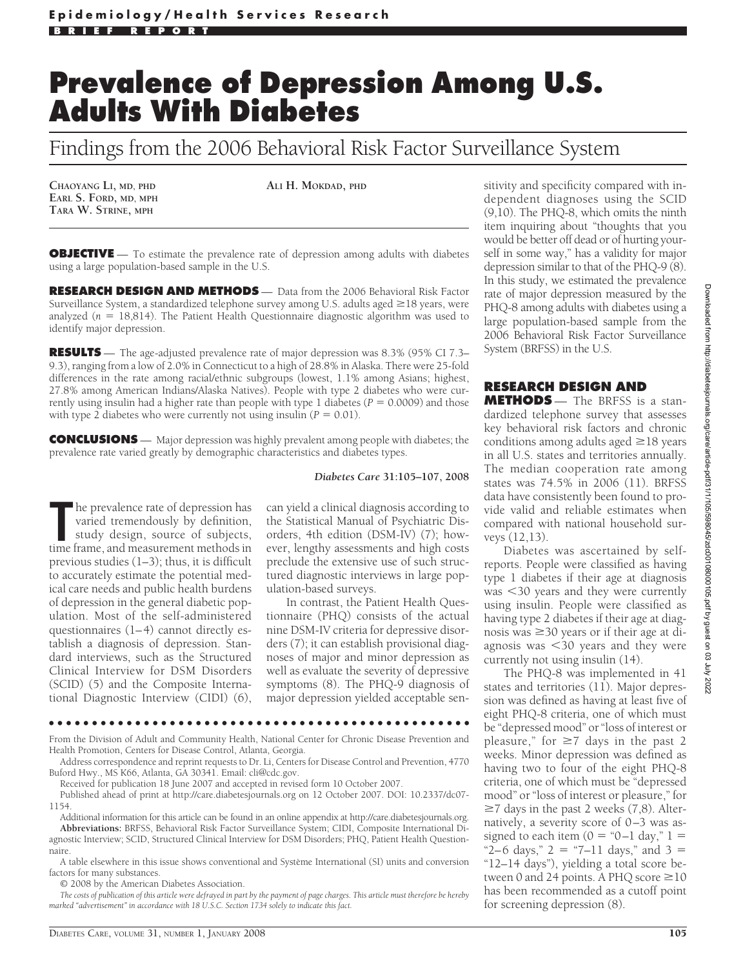## **Prevalence of Depression Among U.S. Adults With Diabetes**

Findings from the 2006 Behavioral Risk Factor Surveillance System

**CHAOYANG LI, MD, PHD EARL S. FORD, MD, MPH TARA W. STRINE, MPH**

**ALI H. MOKDAD, PHD**

**OBJECTIVE** — To estimate the prevalence rate of depression among adults with diabetes using a large population-based sample in the U.S.

**RESEARCH DESIGN AND METHODS** — Data from the 2006 Behavioral Risk Factor Surveillance System, a standardized telephone survey among U.S. adults aged  $\geq$  18 years, were analyzed ( $n = 18,814$ ). The Patient Health Questionnaire diagnostic algorithm was used to identify major depression.

**RESULTS** — The age-adjusted prevalence rate of major depression was 8.3% (95% CI 7.3– 9.3), ranging from a low of 2.0% in Connecticut to a high of 28.8% in Alaska. There were 25-fold differences in the rate among racial/ethnic subgroups (lowest, 1.1% among Asians; highest, 27.8% among American Indians/Alaska Natives). People with type 2 diabetes who were currently using insulin had a higher rate than people with type 1 diabetes ( $P = 0.0009$ ) and those with type 2 diabetes who were currently not using insulin ( $P = 0.01$ ).

**CONCLUSIONS** — Major depression was highly prevalent among people with diabetes; the prevalence rate varied greatly by demographic characteristics and diabetes types.

## *Diabetes Care* **31:105–107, 2008**

The prevalence rate of depression has<br>
varied tremendously by definition,<br>
study design, source of subjects,<br>
time frame, and measurement methods in he prevalence rate of depression has varied tremendously by definition, study design, source of subjects, previous studies (1–3); thus, it is difficult to accurately estimate the potential medical care needs and public health burdens of depression in the general diabetic population. Most of the self-administered questionnaires (1–4) cannot directly establish a diagnosis of depression. Standard interviews, such as the Structured Clinical Interview for DSM Disorders (SCID) (5) and the Composite International Diagnostic Interview (CIDI) (6),

can yield a clinical diagnosis according to the Statistical Manual of Psychiatric Disorders, 4th edition (DSM-IV) (7); however, lengthy assessments and high costs preclude the extensive use of such structured diagnostic interviews in large population-based surveys.

In contrast, the Patient Health Questionnaire (PHQ) consists of the actual nine DSM-IV criteria for depressive disorders (7); it can establish provisional diagnoses of major and minor depression as well as evaluate the severity of depressive symptoms (8). The PHQ-9 diagnosis of major depression yielded acceptable sen-

●●●●●●●●●●●●●●●●●●●●●●●●●●●●●●●●●●●●●●●●●●●●●●●●●

From the Division of Adult and Community Health, National Center for Chronic Disease Prevention and Health Promotion, Centers for Disease Control, Atlanta, Georgia.

Address correspondence and reprint requests to Dr. Li, Centers for Disease Control and Prevention, 4770 Buford Hwy., MS K66, Atlanta, GA 30341. Email: cli@cdc.gov.

Received for publication 18 June 2007 and accepted in revised form 10 October 2007.

Published ahead of print at http://care.diabetesjournals.org on 12 October 2007. DOI: 10.2337/dc07- 1154.

Additional information for this article can be found in an online appendix at http://care.diabetesjournals.org. **Abbreviations:** BRFSS, Behavioral Risk Factor Surveillance System; CIDI, Composite International Diagnostic Interview; SCID, Structured Clinical Interview for DSM Disorders; PHQ, Patient Health Questionnaire.

A table elsewhere in this issue shows conventional and Système International (SI) units and conversion factors for many substances.

© 2008 by the American Diabetes Association.

*The costs of publication of this article were defrayed in part by the payment of page charges. This article must therefore be hereby marked "advertisement" in accordance with 18 U.S.C. Section 1734 solely to indicate this fact.*

sitivity and specificity compared with independent diagnoses using the SCID (9,10). The PHQ-8, which omits the ninth item inquiring about "thoughts that you would be better off dead or of hurting yourself in some way," has a validity for major depression similar to that of the PHQ-9 (8). In this study, we estimated the prevalence rate of major depression measured by the PHQ-8 among adults with diabetes using a large population-based sample from the 2006 Behavioral Risk Factor Surveillance System (BRFSS) in the U.S.

## **RESEARCH DESIGN AND**

**METHODS** — The BRFSS is a standardized telephone survey that assesses key behavioral risk factors and chronic conditions among adults aged  $\geq$  18 years in all U.S. states and territories annually. The median cooperation rate among states was 74.5% in 2006 (11). BRFSS data have consistently been found to provide valid and reliable estimates when compared with national household surveys (12,13).

Diabetes was ascertained by selfreports. People were classified as having type 1 diabetes if their age at diagnosis was -30 years and they were currently using insulin. People were classified as having type 2 diabetes if their age at diagnosis was  $\geq$ 30 years or if their age at diagnosis was -30 years and they were currently not using insulin (14).

The PHQ-8 was implemented in 41 states and territories (11). Major depression was defined as having at least five of eight PHQ-8 criteria, one of which must be "depressed mood" or "loss of interest or pleasure," for  $\geq 7$  days in the past 2 weeks. Minor depression was defined as having two to four of the eight PHQ-8 criteria, one of which must be "depressed mood" or "loss of interest or pleasure," for  $\geq$ 7 days in the past 2 weeks (7,8). Alternatively, a severity score of 0–3 was assigned to each item  $(0 = "0-1 day," 1 =$ "2–6 days,"  $2 = 7 - 11$  days," and  $3 = 2$ "12–14 days"), yielding a total score between 0 and 24 points. A PHQ score  $\geq 10$ has been recommended as a cutoff point for screening depression (8).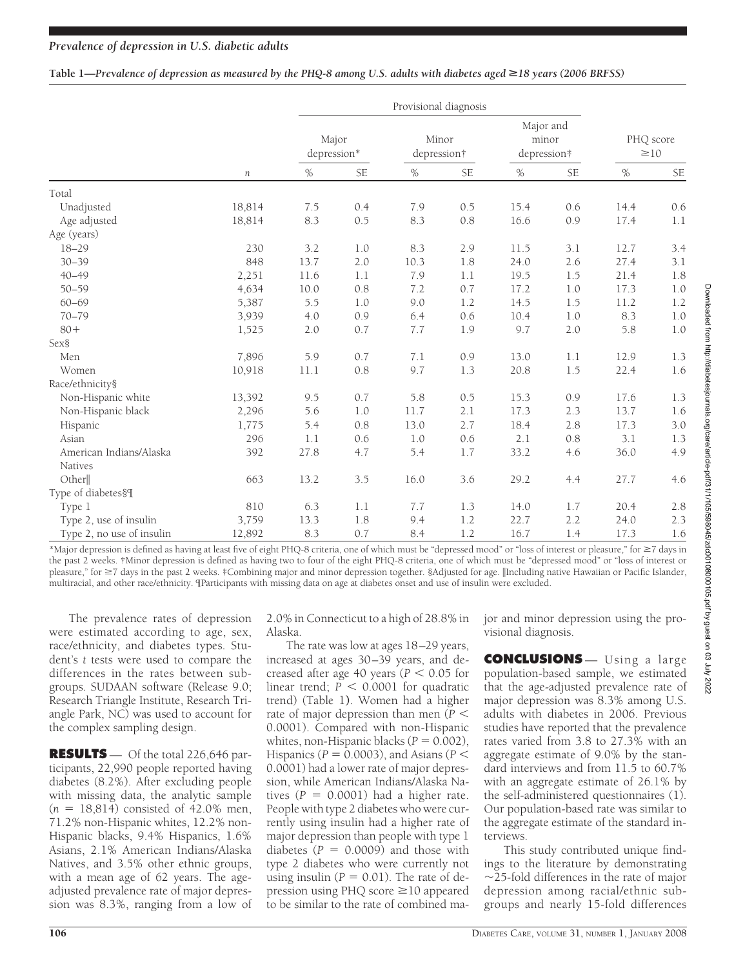|  | Table 1—Prevalence of depression as measured by the PHQ-8 among U.S. adults with diabetes aged $\geq$ 18 years (2006 BRFSS) |  |
|--|-----------------------------------------------------------------------------------------------------------------------------|--|

|                           |                  | Provisional diagnosis |           |                      |           |                                   |           |                        |           |
|---------------------------|------------------|-----------------------|-----------|----------------------|-----------|-----------------------------------|-----------|------------------------|-----------|
|                           | $\boldsymbol{n}$ | Major<br>depression*  |           | Minor<br>depression† |           | Major and<br>minor<br>depression# |           | PHQ score<br>$\geq 10$ |           |
|                           |                  | $\%$                  | <b>SE</b> | $\%$                 | <b>SE</b> | $\%$                              | <b>SE</b> | $\%$                   | <b>SE</b> |
| Total                     |                  |                       |           |                      |           |                                   |           |                        |           |
| Unadjusted                | 18,814           | 7.5                   | 0.4       | 7.9                  | 0.5       | 15.4                              | 0.6       | 14.4                   | 0.6       |
| Age adjusted              | 18,814           | 8.3                   | 0.5       | 8.3                  | 0.8       | 16.6                              | 0.9       | 17.4                   | 1.1       |
| Age (years)               |                  |                       |           |                      |           |                                   |           |                        |           |
| $18 - 29$                 | 230              | 3.2                   | 1.0       | 8.3                  | 2.9       | 11.5                              | 3.1       | 12.7                   | 3.4       |
| $30 - 39$                 | 848              | 13.7                  | 2.0       | 10.3                 | 1.8       | 24.0                              | 2.6       | 27.4                   | 3.1       |
| $40 - 49$                 | 2,251            | 11.6                  | 1.1       | 7.9                  | 1.1       | 19.5                              | 1.5       | 21.4                   | 1.8       |
| $50 - 59$                 | 4,634            | 10.0                  | 0.8       | 7.2                  | 0.7       | 17.2                              | 1.0       | 17.3                   | 1.0       |
| $60 - 69$                 | 5,387            | 5.5                   | 1.0       | 9.0                  | 1.2       | 14.5                              | 1.5       | 11.2                   | 1.2       |
| $70 - 79$                 | 3,939            | 4.0                   | 0.9       | 6.4                  | 0.6       | 10.4                              | 1.0       | 8.3                    | 1.0       |
| $80 +$                    | 1,525            | 2.0                   | 0.7       | 7.7                  | 1.9       | 9.7                               | 2.0       | 5.8                    | 1.0       |
| Sex§                      |                  |                       |           |                      |           |                                   |           |                        |           |
| Men                       | 7,896            | 5.9                   | 0.7       | 7.1                  | 0.9       | 13.0                              | 1.1       | 12.9                   | 1.3       |
| Women                     | 10,918           | 11.1                  | 0.8       | 9.7                  | 1.3       | 20.8                              | 1.5       | 22.4                   | 1.6       |
| Race/ethnicity§           |                  |                       |           |                      |           |                                   |           |                        |           |
| Non-Hispanic white        | 13,392           | 9.5                   | 0.7       | 5.8                  | 0.5       | 15.3                              | 0.9       | 17.6                   | 1.3       |
| Non-Hispanic black        | 2,296            | 5.6                   | 1.0       | 11.7                 | 2.1       | 17.3                              | 2.3       | 13.7                   | 1.6       |
| Hispanic                  | 1,775            | 5.4                   | 0.8       | 13.0                 | 2.7       | 18.4                              | 2.8       | 17.3                   | 3.0       |
| Asian                     | 296              | 1.1                   | 0.6       | 1.0                  | 0.6       | 2.1                               | 0.8       | 3.1                    | 1.3       |
| American Indians/Alaska   | 392              | 27.8                  | 4.7       | 5.4                  | 1.7       | 33.2                              | 4.6       | 36.0                   | 4.9       |
| <b>Natives</b>            |                  |                       |           |                      |           |                                   |           |                        |           |
| Other                     | 663              | 13.2                  | 3.5       | 16.0                 | 3.6       | 29.2                              | 4.4       | 27.7                   | 4.6       |
| Type of diabetes§¶        |                  |                       |           |                      |           |                                   |           |                        |           |
| Type 1                    | 810              | 6.3                   | 1.1       | 7.7                  | 1.3       | 14.0                              | 1.7       | 20.4                   | 2.8       |
| Type 2, use of insulin    | 3,759            | 13.3                  | 1.8       | 9.4                  | 1.2       | 22.7                              | 2.2       | 24.0                   | 2.3       |
| Type 2, no use of insulin | 12,892           | 8.3                   | 0.7       | 8.4                  | 1.2       | 16.7                              | 1.4       | 17.3                   | 1.6       |

\*Major depression is defined as having at least five of eight PHQ-8 criteria, one of which must be "depressed mood" or "loss of interest or pleasure," for  $\geq$ 7 days in the past 2 weeks. †Minor depression is defined as having two to four of the eight PHQ-8 criteria, one of which must be "depressed mood" or "loss of interest or pleasure," for ≥7 days in the past 2 weeks. ‡Combining major and minor depression together. §Adjusted for age. ||Including native Hawaiian or Pacific Islander, multiracial, and other race/ethnicity. ¶Participants with missing data on age at diabetes onset and use of insulin were excluded.

The prevalence rates of depression were estimated according to age, sex, race/ethnicity, and diabetes types. Student's *t* tests were used to compare the differences in the rates between subgroups. SUDAAN software (Release 9.0; Research Triangle Institute, Research Triangle Park, NC) was used to account for the complex sampling design.

**RESULTS** — Of the total 226,646 participants, 22,990 people reported having diabetes (8.2%). After excluding people with missing data, the analytic sample  $(n = 18,814)$  consisted of 42.0% men, 71.2% non-Hispanic whites, 12.2% non-Hispanic blacks, 9.4% Hispanics, 1.6% Asians, 2.1% American Indians/Alaska Natives, and 3.5% other ethnic groups, with a mean age of 62 years. The ageadjusted prevalence rate of major depression was 8.3%, ranging from a low of

2.0% in Connecticut to a high of 28.8% in Alaska.

The rate was low at ages 18–29 years, increased at ages 30–39 years, and decreased after age 40 years ( $P < 0.05$  for  $linear$  trend;  $P < 0.0001$  for quadratic trend) (Table 1**)**. Women had a higher rate of major depression than men (P < 0.0001). Compared with non-Hispanic whites, non-Hispanic blacks  $(P = 0.002)$ , Hispanics ( $P = 0.0003$ ), and Asians ( $P <$ 0.0001) had a lower rate of major depression, while American Indians/Alaska Natives  $(P = 0.0001)$  had a higher rate. People with type 2 diabetes who were currently using insulin had a higher rate of major depression than people with type 1 diabetes  $(P = 0.0009)$  and those with type 2 diabetes who were currently not using insulin  $(P = 0.01)$ . The rate of depression using PHQ score  $\geq$ 10 appeared to be similar to the rate of combined major and minor depression using the provisional diagnosis.

**CONCLUSIONS** — Using a large population-based sample, we estimated that the age-adjusted prevalence rate of major depression was 8.3% among U.S. adults with diabetes in 2006. Previous studies have reported that the prevalence rates varied from 3.8 to 27.3% with an aggregate estimate of 9.0% by the standard interviews and from 11.5 to 60.7% with an aggregate estimate of 26.1% by the self-administered questionnaires (1). Our population-based rate was similar to the aggregate estimate of the standard interviews.

This study contributed unique findings to the literature by demonstrating  $\sim$ 25-fold differences in the rate of major depression among racial/ethnic subgroups and nearly 15-fold differences